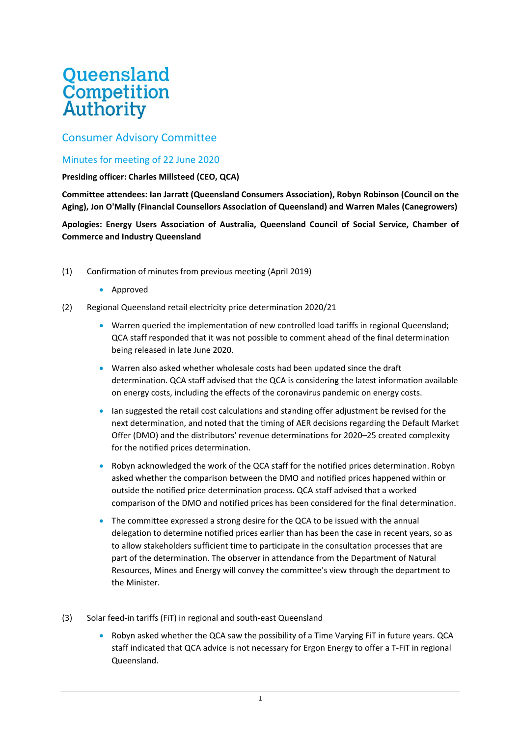## **Queensland**<br>Competition **Authority**

## Consumer Advisory Committee

## Minutes for meeting of 22 June 2020

## **Presiding officer: Charles Millsteed (CEO, QCA)**

**Committee attendees: Ian Jarratt (Queensland Consumers Association), Robyn Robinson (Council on the Aging), Jon O'Mally (Financial Counsellors Association of Queensland) and Warren Males (Canegrowers)**

**Apologies: Energy Users Association of Australia, Queensland Council of Social Service, Chamber of Commerce and Industry Queensland**

- (1) Confirmation of minutes from previous meeting (April 2019)
	- Approved
- (2) Regional Queensland retail electricity price determination 2020/21
	- Warren queried the implementation of new controlled load tariffs in regional Queensland; QCA staff responded that it was not possible to comment ahead of the final determination being released in late June 2020.
	- Warren also asked whether wholesale costs had been updated since the draft determination. QCA staff advised that the QCA is considering the latest information available on energy costs, including the effects of the coronavirus pandemic on energy costs.
	- Ian suggested the retail cost calculations and standing offer adjustment be revised for the next determination, and noted that the timing of AER decisions regarding the Default Market Offer (DMO) and the distributors' revenue determinations for 2020–25 created complexity for the notified prices determination.
	- Robyn acknowledged the work of the QCA staff for the notified prices determination. Robyn asked whether the comparison between the DMO and notified prices happened within or outside the notified price determination process. QCA staff advised that a worked comparison of the DMO and notified prices has been considered for the final determination.
	- The committee expressed a strong desire for the QCA to be issued with the annual delegation to determine notified prices earlier than has been the case in recent years, so as to allow stakeholders sufficient time to participate in the consultation processes that are part of the determination. The observer in attendance from the Department of Natural Resources, Mines and Energy will convey the committee's view through the department to the Minister.
- (3) Solar feed-in tariffs (FiT) in regional and south-east Queensland
	- Robyn asked whether the QCA saw the possibility of a Time Varying FiT in future years. QCA staff indicated that QCA advice is not necessary for Ergon Energy to offer a T-FiT in regional Queensland.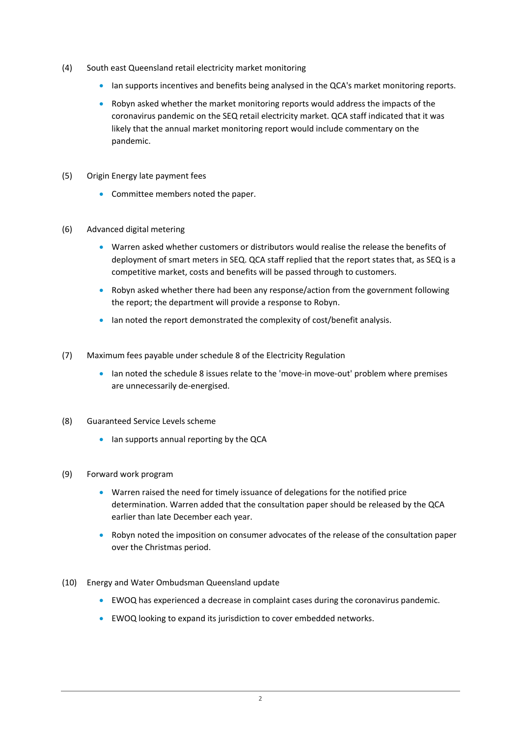- (4) South east Queensland retail electricity market monitoring
	- Ian supports incentives and benefits being analysed in the QCA's market monitoring reports.
	- Robyn asked whether the market monitoring reports would address the impacts of the coronavirus pandemic on the SEQ retail electricity market. QCA staff indicated that it was likely that the annual market monitoring report would include commentary on the pandemic.
- (5) Origin Energy late payment fees
	- Committee members noted the paper.
- (6) Advanced digital metering
	- Warren asked whether customers or distributors would realise the release the benefits of deployment of smart meters in SEQ. QCA staff replied that the report states that, as SEQ is a competitive market, costs and benefits will be passed through to customers.
	- Robyn asked whether there had been any response/action from the government following the report; the department will provide a response to Robyn.
	- Ian noted the report demonstrated the complexity of cost/benefit analysis.
- (7) Maximum fees payable under schedule 8 of the Electricity Regulation
	- Ian noted the schedule 8 issues relate to the 'move-in move-out' problem where premises are unnecessarily de-energised.
- (8) Guaranteed Service Levels scheme
	- Ian supports annual reporting by the QCA
- (9) Forward work program
	- Warren raised the need for timely issuance of delegations for the notified price determination. Warren added that the consultation paper should be released by the QCA earlier than late December each year.
	- Robyn noted the imposition on consumer advocates of the release of the consultation paper over the Christmas period.
- (10) Energy and Water Ombudsman Queensland update
	- EWOQ has experienced a decrease in complaint cases during the coronavirus pandemic.
	- EWOQ looking to expand its jurisdiction to cover embedded networks.